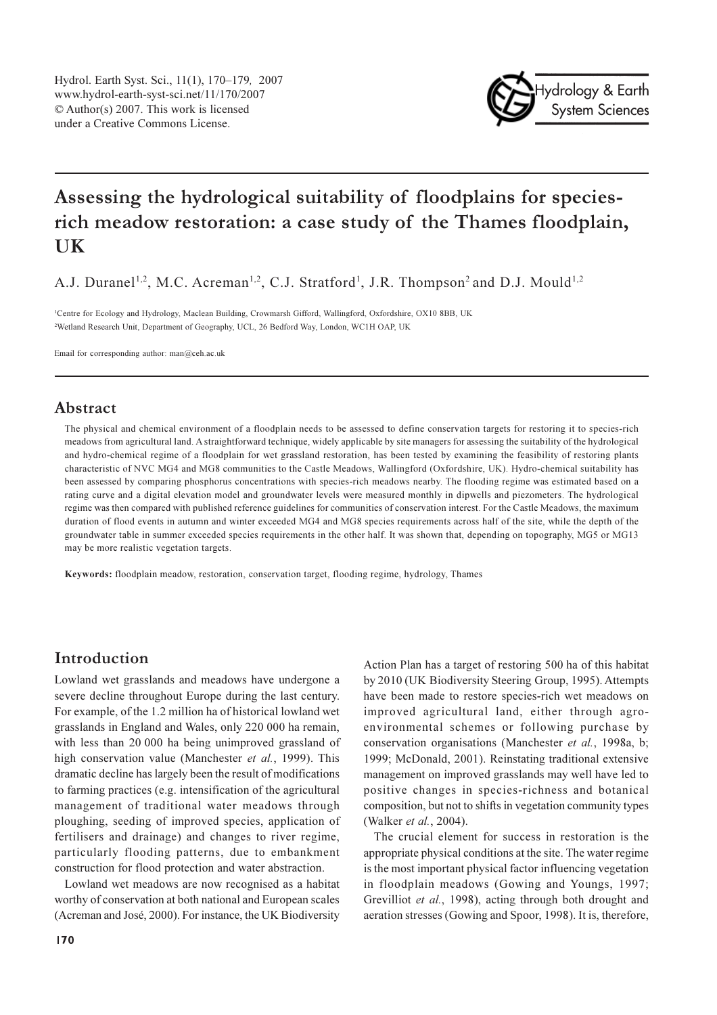

# Assessing the hydrological suitability of floodplains for speciesrich meadow restoration: a case study of the Thames floodplain, **IIK**

A.J. Duranel<sup>1,2</sup>, M.C. Acreman<sup>1,2</sup>, C.J. Stratford<sup>1</sup>, J.R. Thompson<sup>2</sup> and D.J. Mould<sup>1,2</sup>

<sup>1</sup>Centre for Ecology and Hydrology, Maclean Building, Crowmarsh Gifford, Wallingford, Oxfordshire, OX10 8BB, UK <sup>2</sup>Wetland Research Unit, Department of Geography, UCL, 26 Bedford Way, London, WC1H OAP, UK

Email for corresponding author:  $man@ceh.ac.uk$ 

### Abstract

The physical and chemical environment of a floodplain needs to be assessed to define conservation targets for restoring it to species-rich meadows from agricultural land. A straightforward technique, widely applicable by site managers for assessing the suitability of the hydrological and hydro-chemical regime of a floodplain for wet grassland restoration, has been tested by examining the feasibility of restoring plants characteristic of NVC MG4 and MG8 communities to the Castle Meadows, Wallingford (Oxfordshire, UK). Hydro-chemical suitability has been assessed by comparing phosphorus concentrations with species-rich meadows nearby. The flooding regime was estimated based on a rating curve and a digital elevation model and groundwater levels were measured monthly in dipwells and piezometers. The hydrological regime was then compared with published reference guidelines for communities of conservation interest. For the Castle Meadows, the maximum duration of flood events in autumn and winter exceeded MG4 and MG8 species requirements across half of the site, while the depth of the groundwater table in summer exceeded species requirements in the other half. It was shown that, depending on topography, MG5 or MG13 may be more realistic vegetation targets.

Keywords: floodplain meadow, restoration, conservation target, flooding regime, hydrology, Thames

# Introduction

Lowland wet grasslands and meadows have undergone a severe decline throughout Europe during the last century. For example, of the 1.2 million ha of historical lowland wet grasslands in England and Wales, only 220 000 ha remain, with less than 20 000 ha being unimproved grassland of high conservation value (Manchester et al., 1999). This dramatic decline has largely been the result of modifications to farming practices (e.g. intensification of the agricultural management of traditional water meadows through ploughing, seeding of improved species, application of fertilisers and drainage) and changes to river regime, particularly flooding patterns, due to embankment construction for flood protection and water abstraction.

Lowland wet meadows are now recognised as a habitat worthy of conservation at both national and European scales (Acreman and José, 2000). For instance, the UK Biodiversity

Action Plan has a target of restoring 500 ha of this habitat by 2010 (UK Biodiversity Steering Group, 1995). Attempts have been made to restore species-rich wet meadows on improved agricultural land, either through agroenvironmental schemes or following purchase by conservation organisations (Manchester et al., 1998a, b; 1999; McDonald, 2001). Reinstating traditional extensive management on improved grasslands may well have led to positive changes in species-richness and botanical composition, but not to shifts in vegetation community types (Walker et al., 2004).

The crucial element for success in restoration is the appropriate physical conditions at the site. The water regime is the most important physical factor influencing vegetation in floodplain meadows (Gowing and Youngs, 1997; Grevilliot et al., 1998), acting through both drought and aeration stresses (Gowing and Spoor, 1998). It is, therefore,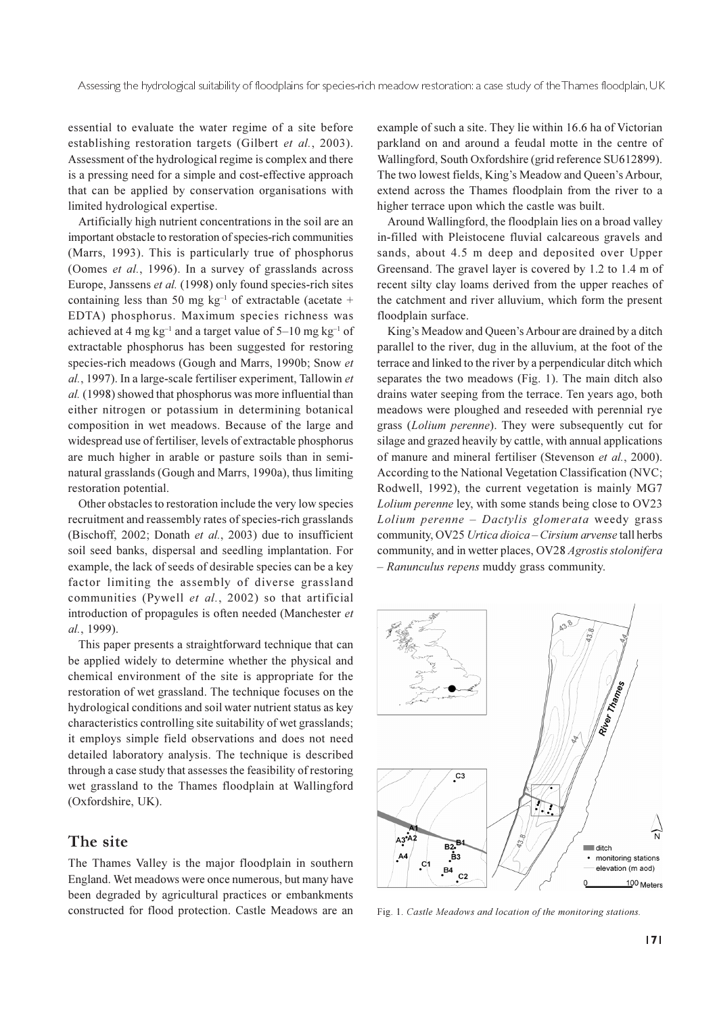essential to evaluate the water regime of a site before establishing restoration targets (Gilbert et al., 2003). Assessment of the hydrological regime is complex and there is a pressing need for a simple and cost-effective approach that can be applied by conservation organisations with limited hydrological expertise.

Artificially high nutrient concentrations in the soil are an important obstacle to restoration of species-rich communities (Marrs, 1993). This is particularly true of phosphorus (Oomes et al., 1996). In a survey of grasslands across Europe, Janssens et al. (1998) only found species-rich sites containing less than 50 mg  $kg^{-1}$  of extractable (acetate + EDTA) phosphorus. Maximum species richness was achieved at 4 mg kg<sup>-1</sup> and a target value of 5-10 mg kg<sup>-1</sup> of extractable phosphorus has been suggested for restoring species-rich meadows (Gough and Marrs, 1990b; Snow et al., 1997). In a large-scale fertiliser experiment. Tallowin et al. (1998) showed that phosphorus was more influential than either nitrogen or potassium in determining botanical composition in wet meadows. Because of the large and widespread use of fertiliser, levels of extractable phosphorus are much higher in arable or pasture soils than in seminatural grasslands (Gough and Marrs, 1990a), thus limiting restoration potential.

Other obstacles to restoration include the very low species recruitment and reassembly rates of species-rich grasslands (Bischoff, 2002; Donath et al., 2003) due to insufficient soil seed banks, dispersal and seedling implantation. For example, the lack of seeds of desirable species can be a key factor limiting the assembly of diverse grassland communities (Pywell et al., 2002) so that artificial introduction of propagules is often needed (Manchester et al., 1999).

This paper presents a straightforward technique that can be applied widely to determine whether the physical and chemical environment of the site is appropriate for the restoration of wet grassland. The technique focuses on the hydrological conditions and soil water nutrient status as key characteristics controlling site suitability of wet grasslands; it employs simple field observations and does not need detailed laboratory analysis. The technique is described through a case study that assesses the feasibility of restoring wet grassland to the Thames floodplain at Wallingford (Oxfordshire, UK).

### The site

The Thames Valley is the major floodplain in southern England. Wet meadows were once numerous, but many have been degraded by agricultural practices or embankments constructed for flood protection. Castle Meadows are an

example of such a site. They lie within 16.6 ha of Victorian parkland on and around a feudal motte in the centre of Wallingford, South Oxfordshire (grid reference SU612899). The two lowest fields, King's Meadow and Queen's Arbour, extend across the Thames floodplain from the river to a higher terrace upon which the castle was built.

Around Wallingford, the floodplain lies on a broad valley in-filled with Pleistocene fluvial calcareous gravels and sands, about 4.5 m deep and deposited over Upper Greensand. The gravel layer is covered by 1.2 to 1.4 m of recent silty clay loams derived from the upper reaches of the catchment and river alluvium, which form the present floodplain surface.

King's Meadow and Queen's Arbour are drained by a ditch parallel to the river, dug in the alluvium, at the foot of the terrace and linked to the river by a perpendicular ditch which separates the two meadows (Fig. 1). The main ditch also drains water seeping from the terrace. Ten years ago, both meadows were ploughed and reseeded with perennial rye grass (*Lolium perenne*). They were subsequently cut for silage and grazed heavily by cattle, with annual applications of manure and mineral fertiliser (Stevenson et al., 2000). According to the National Vegetation Classification (NVC; Rodwell, 1992), the current vegetation is mainly MG7 Lolium perenne ley, with some stands being close to OV23 Lolium perenne - Dactylis glomerata weedy grass community, OV25 Urtica dioica - Cirsium arvense tall herbs community, and in wetter places, OV28 Agrostis stolonifera - Ranunculus repens muddy grass community.



Fig. 1. Castle Meadows and location of the monitoring stations.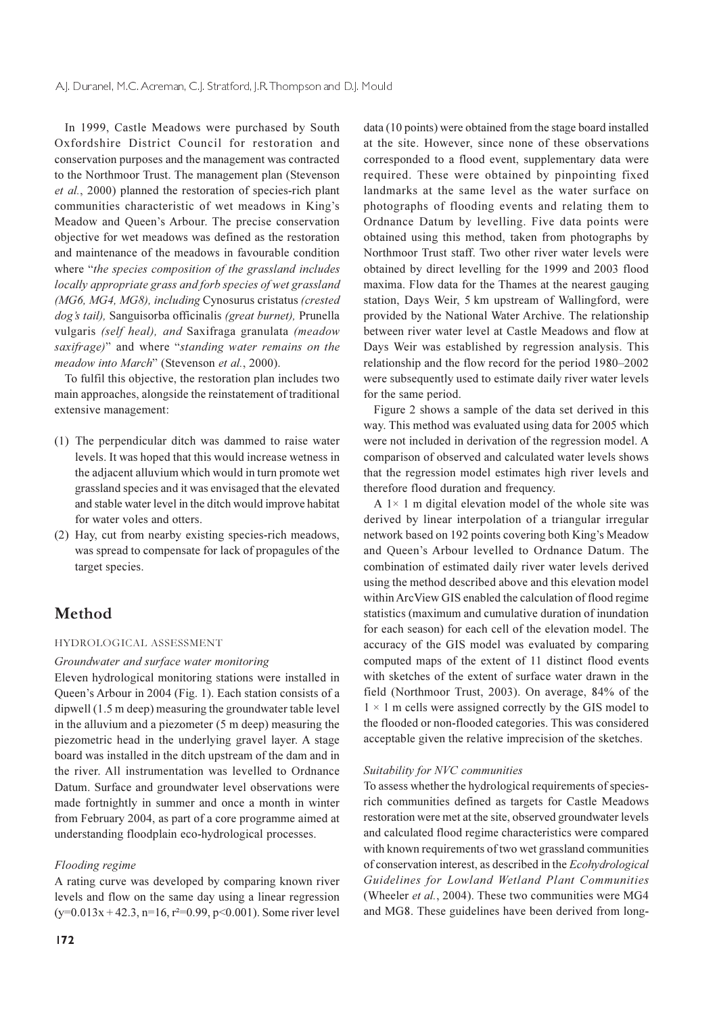In 1999, Castle Meadows were purchased by South Oxfordshire District Council for restoration and conservation purposes and the management was contracted to the Northmoor Trust. The management plan (Stevenson et al., 2000) planned the restoration of species-rich plant communities characteristic of wet meadows in King's Meadow and Queen's Arbour. The precise conservation objective for wet meadows was defined as the restoration and maintenance of the meadows in favourable condition where "the species composition of the grassland includes" locally appropriate grass and forb species of wet grassland (MG6, MG4, MG8), including Cynosurus cristatus (crested dog's tail), Sanguisorba officinalis (great burnet), Prunella vulgaris (self heal), and Saxifraga granulata (meadow saxifrage)" and where "standing water remains on the meadow into March" (Stevenson et al., 2000).

To fulfil this objective, the restoration plan includes two main approaches, alongside the reinstatement of traditional extensive management:

- (1) The perpendicular ditch was dammed to raise water levels. It was hoped that this would increase wetness in the adjacent alluvium which would in turn promote wet grassland species and it was envisaged that the elevated and stable water level in the ditch would improve habitat for water voles and otters.
- (2) Hay, cut from nearby existing species-rich meadows, was spread to compensate for lack of propagules of the target species.

# Method

#### HYDROLOGICAL ASSESSMENT

#### Groundwater and surface water monitoring

Eleven hydrological monitoring stations were installed in Oueen's Arbour in 2004 (Fig. 1). Each station consists of a dipwell (1.5 m deep) measuring the groundwater table level in the alluvium and a piezometer (5 m deep) measuring the piezometric head in the underlying gravel layer. A stage board was installed in the ditch upstream of the dam and in the river. All instrumentation was levelled to Ordnance Datum. Surface and groundwater level observations were made fortnightly in summer and once a month in winter from February 2004, as part of a core programme aimed at understanding floodplain eco-hydrological processes.

### Flooding regime

A rating curve was developed by comparing known river levels and flow on the same day using a linear regression  $(y=0.013x + 42.3, n=16, r^2=0.99, p<0.001)$ . Some river level data (10 points) were obtained from the stage board installed at the site. However, since none of these observations corresponded to a flood event, supplementary data were required. These were obtained by pinpointing fixed landmarks at the same level as the water surface on photographs of flooding events and relating them to Ordnance Datum by levelling. Five data points were obtained using this method, taken from photographs by Northmoor Trust staff. Two other river water levels were obtained by direct levelling for the 1999 and 2003 flood maxima. Flow data for the Thames at the nearest gauging station, Days Weir, 5 km upstream of Wallingford, were provided by the National Water Archive. The relationship between river water level at Castle Meadows and flow at Days Weir was established by regression analysis. This relationship and the flow record for the period 1980–2002 were subsequently used to estimate daily river water levels for the same period.

Figure 2 shows a sample of the data set derived in this way. This method was evaluated using data for 2005 which were not included in derivation of the regression model. A comparison of observed and calculated water levels shows that the regression model estimates high river levels and therefore flood duration and frequency.

A  $1 \times 1$  m digital elevation model of the whole site was derived by linear interpolation of a triangular irregular network based on 192 points covering both King's Meadow and Queen's Arbour levelled to Ordnance Datum. The combination of estimated daily river water levels derived using the method described above and this elevation model within ArcView GIS enabled the calculation of flood regime statistics (maximum and cumulative duration of inundation for each season) for each cell of the elevation model. The accuracy of the GIS model was evaluated by comparing computed maps of the extent of 11 distinct flood events with sketches of the extent of surface water drawn in the field (Northmoor Trust, 2003). On average, 84% of the  $1 \times 1$  m cells were assigned correctly by the GIS model to the flooded or non-flooded categories. This was considered acceptable given the relative imprecision of the sketches.

#### Suitability for NVC communities

To assess whether the hydrological requirements of speciesrich communities defined as targets for Castle Meadows restoration were met at the site, observed groundwater levels and calculated flood regime characteristics were compared with known requirements of two wet grassland communities of conservation interest, as described in the *Ecohydrological* Guidelines for Lowland Wetland Plant Communities (Wheeler et al., 2004). These two communities were MG4 and MG8. These guidelines have been derived from long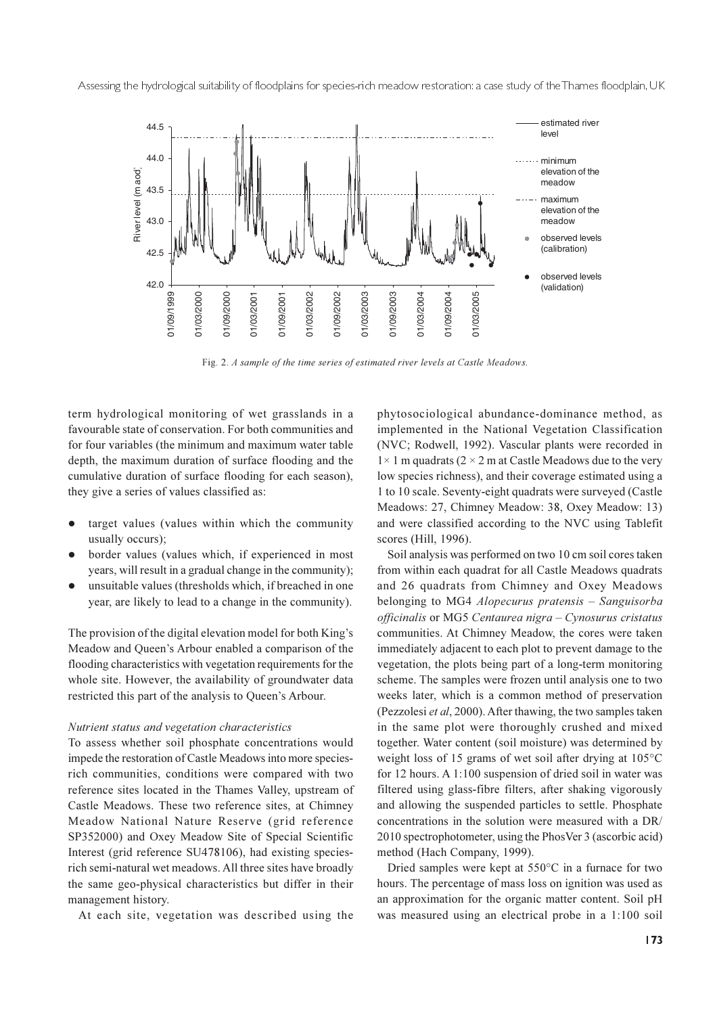Assessing the hydrological suitability of floodplains for species-rich meadow restoration: a case study of the Thames floodplain, UK



Fig. 2. A sample of the time series of estimated river levels at Castle Meadows.

term hydrological monitoring of wet grasslands in a favourable state of conservation. For both communities and for four variables (the minimum and maximum water table depth, the maximum duration of surface flooding and the cumulative duration of surface flooding for each season), they give a series of values classified as:

- target values (values within which the community usually occurs);
- border values (values which, if experienced in most years, will result in a gradual change in the community);
- unsuitable values (thresholds which, if breached in one year, are likely to lead to a change in the community).

The provision of the digital elevation model for both King's Meadow and Queen's Arbour enabled a comparison of the flooding characteristics with vegetation requirements for the whole site. However, the availability of groundwater data restricted this part of the analysis to Queen's Arbour.

#### Nutrient status and vegetation characteristics

To assess whether soil phosphate concentrations would impede the restoration of Castle Meadows into more speciesrich communities, conditions were compared with two reference sites located in the Thames Valley, upstream of Castle Meadows. These two reference sites, at Chimney Meadow National Nature Reserve (grid reference SP352000) and Oxey Meadow Site of Special Scientific Interest (grid reference SU478106), had existing speciesrich semi-natural wet meadows. All three sites have broadly the same geo-physical characteristics but differ in their management history.

At each site, vegetation was described using the

phytosociological abundance-dominance method, as implemented in the National Vegetation Classification (NVC; Rodwell, 1992). Vascular plants were recorded in  $1 \times 1$  m quadrats (2  $\times$  2 m at Castle Meadows due to the very low species richness), and their coverage estimated using a 1 to 10 scale. Seventy-eight quadrats were surveyed (Castle Meadows: 27, Chimney Meadow: 38, Oxey Meadow: 13) and were classified according to the NVC using Tablefit scores (Hill, 1996).

Soil analysis was performed on two 10 cm soil cores taken from within each quadrat for all Castle Meadows quadrats and 26 quadrats from Chimney and Oxey Meadows belonging to MG4 Alopecurus pratensis – Sanguisorba officinalis or MG5 Centaurea nigra - Cynosurus cristatus communities. At Chimney Meadow, the cores were taken immediately adjacent to each plot to prevent damage to the vegetation, the plots being part of a long-term monitoring scheme. The samples were frozen until analysis one to two weeks later, which is a common method of preservation (Pezzolesi et al, 2000). After thawing, the two samples taken in the same plot were thoroughly crushed and mixed together. Water content (soil moisture) was determined by weight loss of 15 grams of wet soil after drying at 105°C for 12 hours. A 1:100 suspension of dried soil in water was filtered using glass-fibre filters, after shaking vigorously and allowing the suspended particles to settle. Phosphate concentrations in the solution were measured with a DR/ 2010 spectrophotometer, using the PhosVer 3 (ascorbic acid) method (Hach Company, 1999).

Dried samples were kept at  $550^{\circ}$ C in a furnace for two hours. The percentage of mass loss on ignition was used as an approximation for the organic matter content. Soil pH was measured using an electrical probe in a 1:100 soil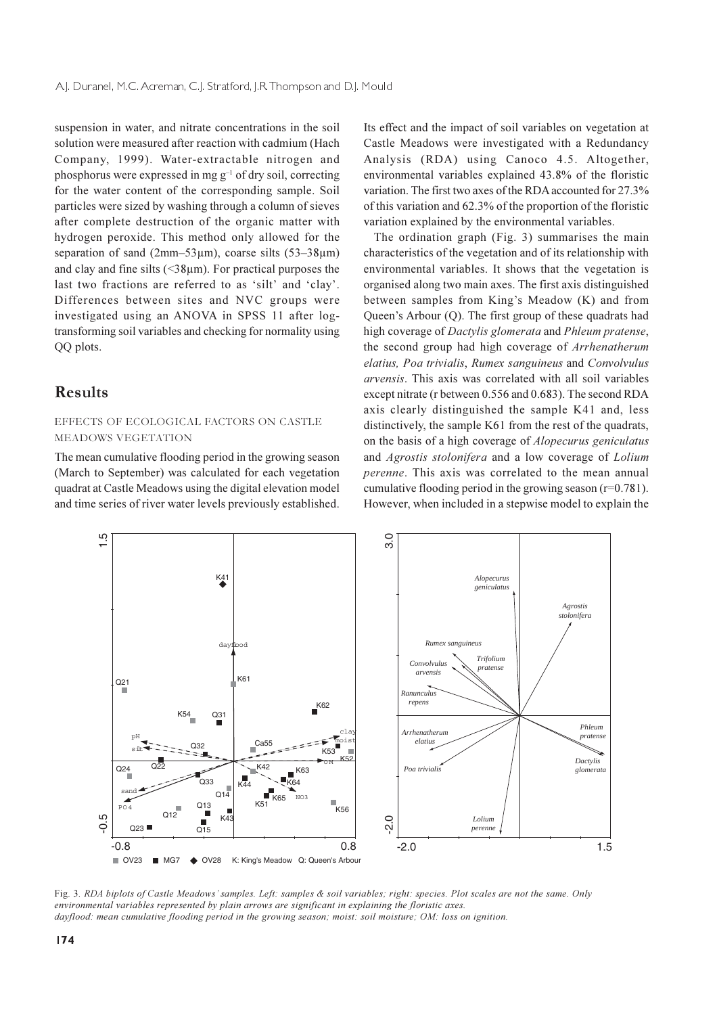suspension in water, and nitrate concentrations in the soil solution were measured after reaction with cadmium (Hach Company, 1999). Water-extractable nitrogen and phosphorus were expressed in mg  $g^{-1}$  of dry soil, correcting for the water content of the corresponding sample. Soil particles were sized by washing through a column of sieves after complete destruction of the organic matter with hydrogen peroxide. This method only allowed for the separation of sand (2mm-53 $\mu$ m), coarse silts (53-38 $\mu$ m) and clay and fine silts  $(\leq 38\,\mu\text{m})$ . For practical purposes the last two fractions are referred to as 'silt' and 'clay'. Differences between sites and NVC groups were investigated using an ANOVA in SPSS 11 after logtransforming soil variables and checking for normality using QQ plots.

### **Results**

### EFFECTS OF ECOLOGICAL FACTORS ON CASTLE MEADOWS VEGETATION

The mean cumulative flooding period in the growing season (March to September) was calculated for each vegetation quadrat at Castle Meadows using the digital elevation model and time series of river water levels previously established. Its effect and the impact of soil variables on vegetation at Castle Meadows were investigated with a Redundancy Analysis (RDA) using Canoco 4.5. Altogether, environmental variables explained 43.8% of the floristic variation. The first two axes of the RDA accounted for 27.3% of this variation and 62.3% of the proportion of the floristic variation explained by the environmental variables.

The ordination graph (Fig. 3) summarises the main characteristics of the vegetation and of its relationship with environmental variables. It shows that the vegetation is organised along two main axes. The first axis distinguished between samples from King's Meadow (K) and from Queen's Arbour (Q). The first group of these quadrats had high coverage of *Dactylis glomerata* and *Phleum pratense*, the second group had high coverage of Arrhenatherum elatius, Poa trivialis, Rumex sanguineus and Convolvulus arvensis. This axis was correlated with all soil variables except nitrate (r between 0.556 and 0.683). The second RDA axis clearly distinguished the sample K41 and, less distinctively, the sample K61 from the rest of the quadrats, on the basis of a high coverage of *Alopecurus geniculatus* and *Agrostis stolonifera* and a low coverage of *Lolium* perenne. This axis was correlated to the mean annual cumulative flooding period in the growing season ( $r=0.781$ ). However, when included in a stepwise model to explain the



Fig. 3. RDA biplots of Castle Meadows' samples. Left: samples & soil variables; right: species. Plot scales are not the same. Only *environmental variables represented by plain arrows are significant in explaining the floristic axes. dayflood: mean cumulative flooding period in the growing season; moist: soil moisture; OM: loss on ignition.*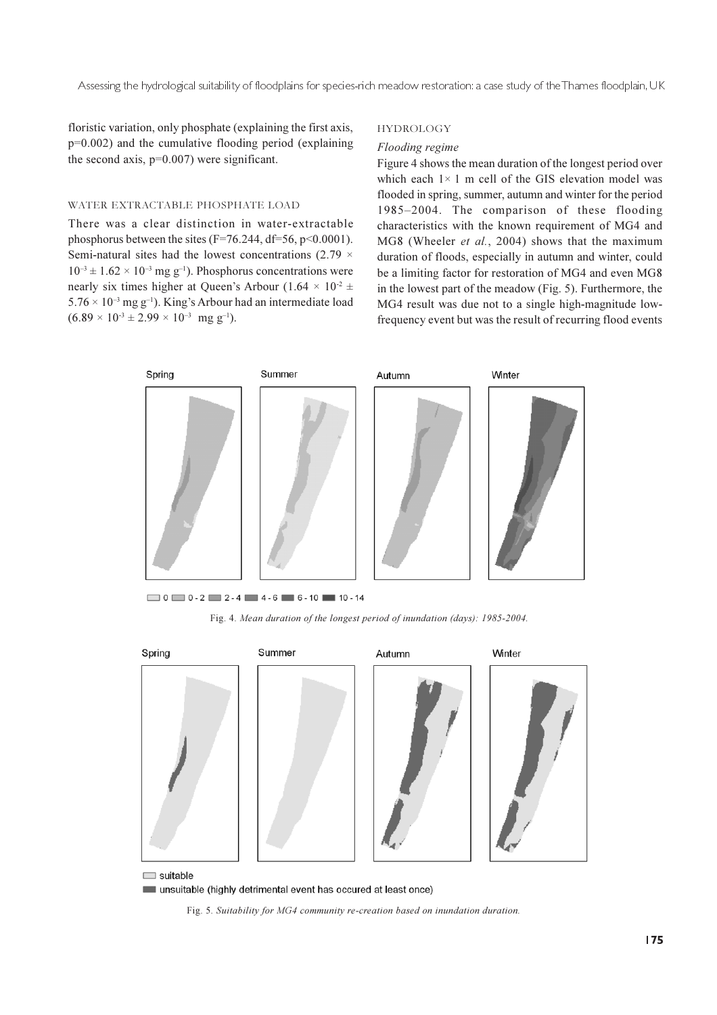floristic variation, only phosphate (explaining the first axis,  $p=0.002$ ) and the cumulative flooding period (explaining the second axis,  $p=0.007$ ) were significant.

### WATER EXTRACTABLE PHOSPHATE LOAD

There was a clear distinction in water-extractable phosphorus between the sites ( $F=76.244$ , d $f=56$ ,  $p<0.0001$ ). Semi-natural sites had the lowest concentrations (2.79  $\times$  $10^{-3} \pm 1.62 \times 10^{-3}$  mg g<sup>-1</sup>). Phosphorus concentrations were nearly six times higher at Queen's Arbour  $(1.64 \times 10^{2} \pm$  $5.76 \times 10^{-3}$  mg g<sup>-1</sup>). King's Arbour had an intermediate load  $(6.89 \times 10^{-3} \pm 2.99 \times 10^{-3} \text{ mg g}^{-1}).$ 

#### **HYDROLOGY**

#### Flooding regime

Figure 4 shows the mean duration of the longest period over which each  $1 \times 1$  m cell of the GIS elevation model was flooded in spring, summer, autumn and winter for the period 1985-2004. The comparison of these flooding characteristics with the known requirement of MG4 and MG8 (Wheeler et al., 2004) shows that the maximum duration of floods, especially in autumn and winter, could be a limiting factor for restoration of MG4 and even MG8 in the lowest part of the meadow (Fig. 5). Furthermore, the MG4 result was due not to a single high-magnitude lowfrequency event but was the result of recurring flood events



Fig. 4. Mean duration of the longest period of inundation (days): 1985-2004.



unsuitable (highly detrimental event has occured at least once)

Fig. 5. Suitability for MG4 community re-creation based on inundation duration.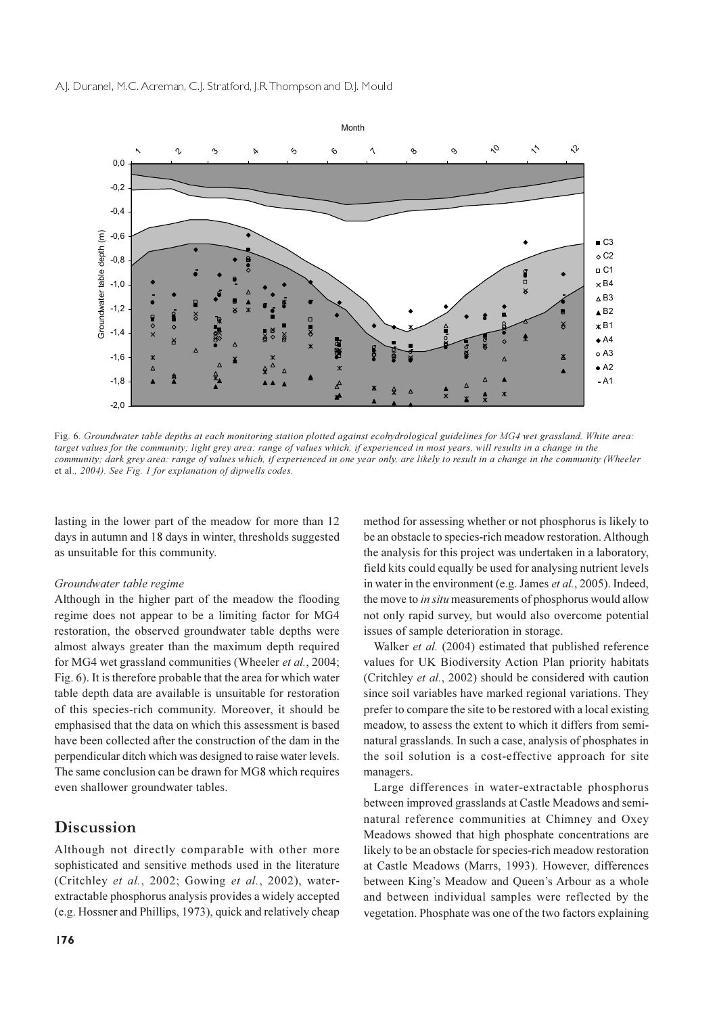

Fig. 6. Groundwater table depths at each monitoring station plotted against ecohydrological guidelines for MG4 wet grassland. White area: target values for the community; light grey area: range of values which, if experienced in most years, will results in a change in the community; dark grey area: range of values which, if experienced in one year only, are likely to result in a change in the community (Wheeler et al., 2004). See Fig. 1 for explanation of dipwells codes.

lasting in the lower part of the meadow for more than 12 days in autumn and 18 days in winter, thresholds suggested as unsuitable for this community.

#### Groundwater table regime

Although in the higher part of the meadow the flooding regime does not appear to be a limiting factor for MG4 restoration, the observed groundwater table depths were almost always greater than the maximum depth required for MG4 wet grassland communities (Wheeler et al., 2004; Fig. 6). It is therefore probable that the area for which water table depth data are available is unsuitable for restoration of this species-rich community. Moreover, it should be emphasised that the data on which this assessment is based have been collected after the construction of the dam in the perpendicular ditch which was designed to raise water levels. The same conclusion can be drawn for MG8 which requires even shallower groundwater tables.

### Discussion

Although not directly comparable with other more sophisticated and sensitive methods used in the literature (Critchley et al., 2002; Gowing et al., 2002), waterextractable phosphorus analysis provides a widely accepted (e.g. Hossner and Phillips, 1973), quick and relatively cheap method for assessing whether or not phosphorus is likely to be an obstacle to species-rich meadow restoration. Although the analysis for this project was undertaken in a laboratory, field kits could equally be used for analysing nutrient levels in water in the environment (e.g. James et al., 2005). Indeed, the move to in situ measurements of phosphorus would allow not only rapid survey, but would also overcome potential issues of sample deterioration in storage.

Walker et al. (2004) estimated that published reference values for UK Biodiversity Action Plan priority habitats (Critchley et al., 2002) should be considered with caution since soil variables have marked regional variations. They prefer to compare the site to be restored with a local existing meadow, to assess the extent to which it differs from seminatural grasslands. In such a case, analysis of phosphates in the soil solution is a cost-effective approach for site managers.

Large differences in water-extractable phosphorus between improved grasslands at Castle Meadows and seminatural reference communities at Chimney and Oxey Meadows showed that high phosphate concentrations are likely to be an obstacle for species-rich meadow restoration at Castle Meadows (Marrs, 1993). However, differences between King's Meadow and Queen's Arbour as a whole and between individual samples were reflected by the vegetation. Phosphate was one of the two factors explaining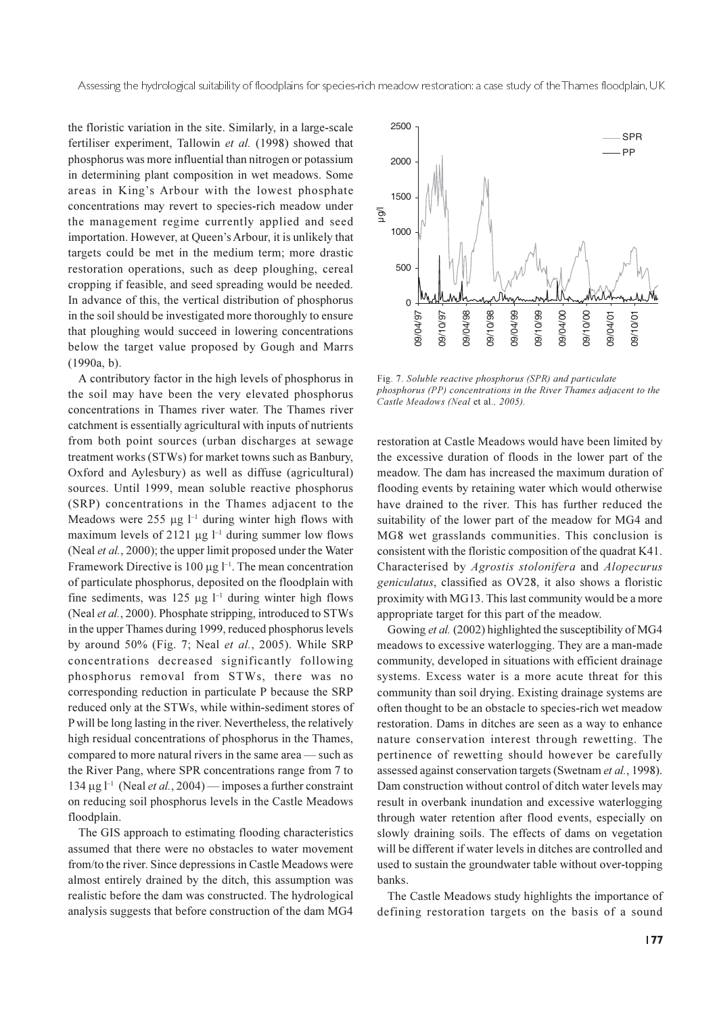the floristic variation in the site. Similarly, in a large-scale fertiliser experiment, Tallowin et al. (1998) showed that phosphorus was more influential than nitrogen or potassium in determining plant composition in wet meadows. Some areas in King's Arbour with the lowest phosphate concentrations may revert to species-rich meadow under the management regime currently applied and seed importation. However, at Queen's Arbour, it is unlikely that targets could be met in the medium term; more drastic restoration operations, such as deep ploughing, cereal cropping if feasible, and seed spreading would be needed. In advance of this, the vertical distribution of phosphorus in the soil should be investigated more thoroughly to ensure that ploughing would succeed in lowering concentrations below the target value proposed by Gough and Marrs  $(1990a, b)$ .

A contributory factor in the high levels of phosphorus in the soil may have been the very elevated phosphorus concentrations in Thames river water. The Thames river catchment is essentially agricultural with inputs of nutrients from both point sources (urban discharges at sewage treatment works (STWs) for market towns such as Banbury, Oxford and Aylesbury) as well as diffuse (agricultural) sources. Until 1999, mean soluble reactive phosphorus (SRP) concentrations in the Thames adjacent to the Meadows were 255  $\mu$ g l<sup>-1</sup> during winter high flows with maximum levels of 2121  $\mu$ g l<sup>-1</sup> during summer low flows (Neal *et al.*, 2000); the upper limit proposed under the Water Framework Directive is 100  $\mu$ g  $l^{-1}$ . The mean concentration of particulate phosphorus, deposited on the floodplain with fine sediments, was 125  $\mu$ g l<sup>-1</sup> during winter high flows (Neal et al., 2000). Phosphate stripping, introduced to STWs in the upper Thames during 1999, reduced phosphorus levels by around 50% (Fig. 7; Neal et al., 2005). While SRP concentrations decreased significantly following phosphorus removal from STWs, there was no corresponding reduction in particulate P because the SRP reduced only at the STWs, while within-sediment stores of P will be long lasting in the river. Nevertheless, the relatively high residual concentrations of phosphorus in the Thames, compared to more natural rivers in the same area — such as the River Pang, where SPR concentrations range from 7 to 134 µg  $l^{-1}$  (Neal *et al.*, 2004) — imposes a further constraint on reducing soil phosphorus levels in the Castle Meadows floodplain.

The GIS approach to estimating flooding characteristics assumed that there were no obstacles to water movement from/to the river. Since depressions in Castle Meadows were almost entirely drained by the ditch, this assumption was realistic before the dam was constructed. The hydrological analysis suggests that before construction of the dam MG4



Fig. 7. Soluble reactive phosphorus (SPR) and particulate phosphorus (PP) concentrations in the River Thames adjacent to the Castle Meadows (Neal et al., 2005).

restoration at Castle Meadows would have been limited by the excessive duration of floods in the lower part of the meadow. The dam has increased the maximum duration of flooding events by retaining water which would otherwise have drained to the river. This has further reduced the suitability of the lower part of the meadow for MG4 and MG8 wet grasslands communities. This conclusion is consistent with the floristic composition of the quadrat K41. Characterised by Agrostis stolonifera and Alopecurus geniculatus, classified as OV28, it also shows a floristic proximity with MG13. This last community would be a more appropriate target for this part of the meadow.

Gowing et al. (2002) highlighted the susceptibility of MG4 meadows to excessive waterlogging. They are a man-made community, developed in situations with efficient drainage systems. Excess water is a more acute threat for this community than soil drying. Existing drainage systems are often thought to be an obstacle to species-rich wet meadow restoration. Dams in ditches are seen as a way to enhance nature conservation interest through rewetting. The pertinence of rewetting should however be carefully assessed against conservation targets (Swetnam et al., 1998). Dam construction without control of ditch water levels may result in overbank inundation and excessive waterlogging through water retention after flood events, especially on slowly draining soils. The effects of dams on vegetation will be different if water levels in ditches are controlled and used to sustain the groundwater table without over-topping banks.

The Castle Meadows study highlights the importance of defining restoration targets on the basis of a sound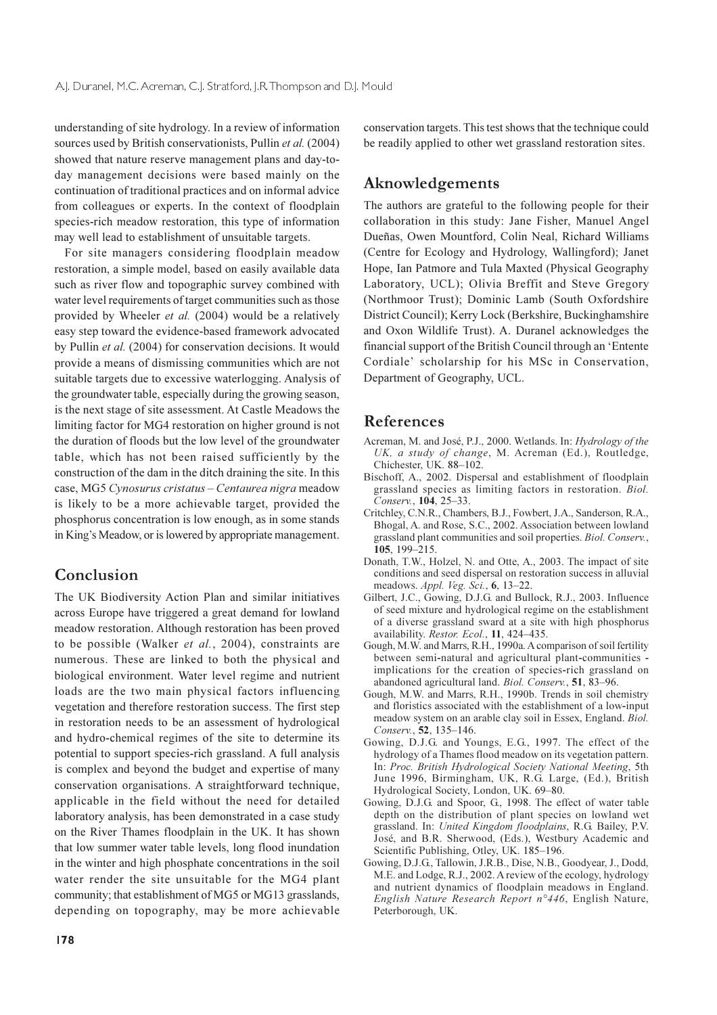understanding of site hydrology. In a review of information sources used by British conservationists, Pullin et al. (2004) showed that nature reserve management plans and day-today management decisions were based mainly on the continuation of traditional practices and on informal advice from colleagues or experts. In the context of floodplain species-rich meadow restoration, this type of information may well lead to establishment of unsuitable targets.

For site managers considering floodplain meadow restoration, a simple model, based on easily available data such as river flow and topographic survey combined with water level requirements of target communities such as those provided by Wheeler et al. (2004) would be a relatively easy step toward the evidence-based framework advocated by Pullin et al. (2004) for conservation decisions. It would provide a means of dismissing communities which are not suitable targets due to excessive waterlogging. Analysis of the groundwater table, especially during the growing season, is the next stage of site assessment. At Castle Meadows the limiting factor for MG4 restoration on higher ground is not the duration of floods but the low level of the groundwater table, which has not been raised sufficiently by the construction of the dam in the ditch draining the site. In this case, MG5 Cynosurus cristatus - Centaurea nigra meadow is likely to be a more achievable target, provided the phosphorus concentration is low enough, as in some stands in King's Meadow, or is lowered by appropriate management.

# Conclusion

The UK Biodiversity Action Plan and similar initiatives across Europe have triggered a great demand for lowland meadow restoration. Although restoration has been proved to be possible (Walker et al., 2004), constraints are numerous. These are linked to both the physical and biological environment. Water level regime and nutrient loads are the two main physical factors influencing vegetation and therefore restoration success. The first step in restoration needs to be an assessment of hydrological and hydro-chemical regimes of the site to determine its potential to support species-rich grassland. A full analysis is complex and beyond the budget and expertise of many conservation organisations. A straightforward technique, applicable in the field without the need for detailed laboratory analysis, has been demonstrated in a case study on the River Thames floodplain in the UK. It has shown that low summer water table levels, long flood inundation in the winter and high phosphate concentrations in the soil water render the site unsuitable for the MG4 plant community; that establishment of MG5 or MG13 grasslands, depending on topography, may be more achievable

conservation targets. This test shows that the technique could be readily applied to other wet grassland restoration sites.

# Aknowledgements

The authors are grateful to the following people for their collaboration in this study: Jane Fisher, Manuel Angel Dueñas, Owen Mountford, Colin Neal, Richard Williams (Centre for Ecology and Hydrology, Wallingford); Janet Hope, Ian Patmore and Tula Maxted (Physical Geography Laboratory, UCL); Olivia Breffit and Steve Gregory (Northmoor Trust); Dominic Lamb (South Oxfordshire District Council); Kerry Lock (Berkshire, Buckinghamshire and Oxon Wildlife Trust). A. Duranel acknowledges the financial support of the British Council through an 'Entente Cordiale' scholarship for his MSc in Conservation, Department of Geography, UCL.

### References

- Acreman, M. and José, P.J., 2000. Wetlands. In: Hydrology of the UK, a study of change, M. Acreman (Ed.), Routledge, Chichester, UK. 88-102.
- Bischoff, A., 2002. Dispersal and establishment of floodplain grassland species as limiting factors in restoration. Biol. Conserv., 104, 25-33.
- Critchley, C.N.R., Chambers, B.J., Fowbert, J.A., Sanderson, R.A., Bhogal, A. and Rose, S.C., 2002. Association between lowland grassland plant communities and soil properties. Biol. Conserv., 105. 199-215.
- Donath, T.W., Holzel, N. and Otte, A., 2003. The impact of site conditions and seed dispersal on restoration success in alluvial meadows. Appl. Veg. Sci., 6, 13-22.
- Gilbert, J.C., Gowing, D.J.G. and Bullock, R.J., 2003. Influence of seed mixture and hydrological regime on the establishment of a diverse grassland sward at a site with high phosphorus availability. Restor. Ecol., 11, 424-435.
- Gough, M.W. and Marrs, R.H., 1990a. A comparison of soil fertility between semi-natural and agricultural plant-communities implications for the creation of species-rich grassland on abandoned agricultural land. Biol. Conserv., 51, 83-96.
- Gough, M.W. and Marrs, R.H., 1990b. Trends in soil chemistry and floristics associated with the establishment of a low-input meadow system on an arable clay soil in Essex, England. Biol. Conserv., 52, 135-146.
- Gowing, D.J.G. and Youngs, E.G., 1997. The effect of the hydrology of a Thames flood meadow on its vegetation pattern. In: Proc. British Hydrological Society National Meeting, 5th June 1996, Birmingham, UK, R.G. Large, (Ed.), British Hydrological Society, London, UK. 69-80.
- Gowing, D.J.G. and Spoor, G. 1998. The effect of water table depth on the distribution of plant species on lowland wet grassland. In: United Kingdom floodplains, R.G. Bailey, P.V. José, and B.R. Sherwood, (Eds.), Westbury Academic and Scientific Publishing, Otley, UK. 185-196.
- Gowing, D.J.G., Tallowin, J.R.B., Dise, N.B., Goodyear, J., Dodd, M.E. and Lodge, R.J., 2002. A review of the ecology, hydrology and nutrient dynamics of floodplain meadows in England. English Nature Research Report n°446, English Nature, Peterborough, UK.